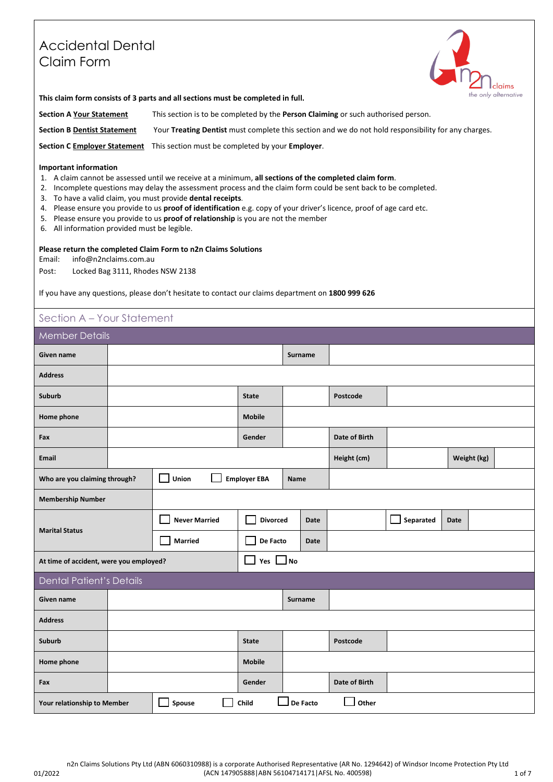# Accidental Dental Claim Form



**This claim form consists of 3 parts and all sections must be completed in full.**

**Section A Your Statement** This section is to be completed by the **Person Claiming** or such authorised person. **Section B Dentist Statement** Your **Treating Dentist** must complete this section and we do not hold responsibility for any charges.

**Section C Employer Statement** This section must be completed by your **Employer**.

#### **Important information**

- 1. A claim cannot be assessed until we receive at a minimum, **all sections of the completed claim form**.
- 2. Incomplete questions may delay the assessment process and the claim form could be sent back to be completed.
- 3. To have a valid claim, you must provide **dental receipts**.
- 4. Please ensure you provide to us **proof of identification** e.g. copy of your driver's licence, proof of age card etc.
- 5. Please ensure you provide to us **proof of relationship** is you are not the member
- 6. All information provided must be legible.

### **Please return the completed Claim Form to n2n Claims Solutions**

Email: info@n2nclaims.com.au

Post: Locked Bag 3111, Rhodes NSW 2138

If you have any questions, please don't hesitate to contact our claims department on **1800 999 626** 

## Section A – Your Statement

| <b>Member Details</b>                   |                                                                     |                      |  |                     |               |                |               |           |             |             |  |  |  |
|-----------------------------------------|---------------------------------------------------------------------|----------------------|--|---------------------|---------------|----------------|---------------|-----------|-------------|-------------|--|--|--|
| Given name                              |                                                                     |                      |  |                     |               | <b>Surname</b> |               |           |             |             |  |  |  |
| <b>Address</b>                          |                                                                     |                      |  |                     |               |                |               |           |             |             |  |  |  |
| Suburb                                  |                                                                     |                      |  | <b>State</b>        |               |                | Postcode      |           |             |             |  |  |  |
| Home phone                              |                                                                     |                      |  | <b>Mobile</b>       |               |                |               |           |             |             |  |  |  |
| Fax                                     |                                                                     | Gender               |  |                     | Date of Birth |                |               |           |             |             |  |  |  |
| <b>Email</b>                            |                                                                     |                      |  |                     |               |                | Height (cm)   |           |             | Weight (kg) |  |  |  |
| Who are you claiming through?           |                                                                     | Union                |  | <b>Employer EBA</b> | <b>Name</b>   |                |               |           |             |             |  |  |  |
| <b>Membership Number</b>                |                                                                     |                      |  |                     |               |                |               |           |             |             |  |  |  |
|                                         |                                                                     | <b>Never Married</b> |  | <b>Divorced</b>     |               | <b>Date</b>    |               | Separated | <b>Date</b> |             |  |  |  |
| <b>Marital Status</b>                   |                                                                     | <b>Married</b>       |  | De Facto            | Date          |                |               |           |             |             |  |  |  |
| At time of accident, were you employed? |                                                                     |                      |  | Yes $\Box$ No       |               |                |               |           |             |             |  |  |  |
| <b>Dental Patient's Details</b>         |                                                                     |                      |  |                     |               |                |               |           |             |             |  |  |  |
| Given name                              |                                                                     |                      |  |                     |               | Surname        |               |           |             |             |  |  |  |
| <b>Address</b>                          |                                                                     |                      |  |                     |               |                |               |           |             |             |  |  |  |
| Suburb                                  | <b>State</b>                                                        |                      |  |                     |               |                | Postcode      |           |             |             |  |  |  |
| Home phone                              |                                                                     |                      |  | <b>Mobile</b>       |               |                |               |           |             |             |  |  |  |
| Fax                                     |                                                                     |                      |  | Gender              |               |                | Date of Birth |           |             |             |  |  |  |
|                                         | Spouse<br>De Facto<br>Other<br>Child<br>Your relationship to Member |                      |  |                     |               |                |               |           |             |             |  |  |  |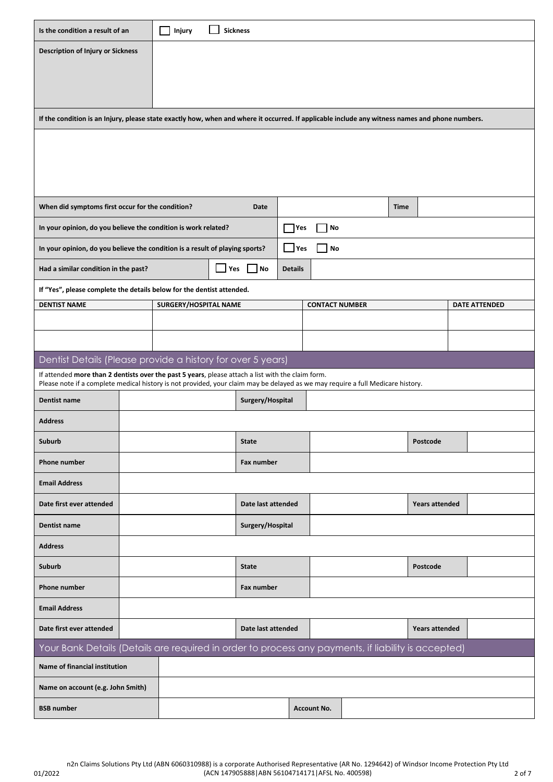| Is the condition a result of an                                                                                                                                                                                                      |            | <b>Sickness</b><br>Injury |              |                    |                    |                       |  |                 |                |                      |  |  |
|--------------------------------------------------------------------------------------------------------------------------------------------------------------------------------------------------------------------------------------|------------|---------------------------|--------------|--------------------|--------------------|-----------------------|--|-----------------|----------------|----------------------|--|--|
| <b>Description of Injury or Sickness</b>                                                                                                                                                                                             |            |                           |              |                    |                    |                       |  |                 |                |                      |  |  |
|                                                                                                                                                                                                                                      |            |                           |              |                    |                    |                       |  |                 |                |                      |  |  |
|                                                                                                                                                                                                                                      |            |                           |              |                    |                    |                       |  |                 |                |                      |  |  |
| If the condition is an Injury, please state exactly how, when and where it occurred. If applicable include any witness names and phone numbers.                                                                                      |            |                           |              |                    |                    |                       |  |                 |                |                      |  |  |
|                                                                                                                                                                                                                                      |            |                           |              |                    |                    |                       |  |                 |                |                      |  |  |
|                                                                                                                                                                                                                                      |            |                           |              |                    |                    |                       |  |                 |                |                      |  |  |
|                                                                                                                                                                                                                                      |            |                           |              |                    |                    |                       |  |                 |                |                      |  |  |
| When did symptoms first occur for the condition?<br>Date<br>Time                                                                                                                                                                     |            |                           |              |                    |                    |                       |  |                 |                |                      |  |  |
| In your opinion, do you believe the condition is work related?                                                                                                                                                                       |            |                           |              |                    | Yes                | No                    |  |                 |                |                      |  |  |
| In your opinion, do you believe the condition is a result of playing sports?                                                                                                                                                         |            |                           |              |                    | Yes                | No                    |  |                 |                |                      |  |  |
| Had a similar condition in the past?                                                                                                                                                                                                 |            |                           | Yes          | No.                | <b>Details</b>     |                       |  |                 |                |                      |  |  |
| If "Yes", please complete the details below for the dentist attended.                                                                                                                                                                |            |                           |              |                    |                    |                       |  |                 |                |                      |  |  |
| <b>DENTIST NAME</b>                                                                                                                                                                                                                  |            | SURGERY/HOSPITAL NAME     |              |                    |                    | <b>CONTACT NUMBER</b> |  |                 |                | <b>DATE ATTENDED</b> |  |  |
|                                                                                                                                                                                                                                      |            |                           |              |                    |                    |                       |  |                 |                |                      |  |  |
|                                                                                                                                                                                                                                      |            |                           |              |                    |                    |                       |  |                 |                |                      |  |  |
| Dentist Details (Please provide a history for over 5 years)                                                                                                                                                                          |            |                           |              |                    |                    |                       |  |                 |                |                      |  |  |
| If attended more than 2 dentists over the past 5 years, please attach a list with the claim form.<br>Please note if a complete medical history is not provided, your claim may be delayed as we may require a full Medicare history. |            |                           |              |                    |                    |                       |  |                 |                |                      |  |  |
| Dentist name                                                                                                                                                                                                                         |            |                           |              | Surgery/Hospital   |                    |                       |  |                 |                |                      |  |  |
| <b>Address</b>                                                                                                                                                                                                                       |            |                           |              |                    |                    |                       |  |                 |                |                      |  |  |
| Suburb                                                                                                                                                                                                                               |            |                           |              | <b>State</b>       |                    |                       |  | <b>Postcode</b> |                |                      |  |  |
| Phone number                                                                                                                                                                                                                         |            |                           |              | Fax number         |                    |                       |  |                 |                |                      |  |  |
| <b>Email Address</b>                                                                                                                                                                                                                 |            |                           |              |                    |                    |                       |  |                 |                |                      |  |  |
| Date first ever attended                                                                                                                                                                                                             |            |                           |              |                    | Date last attended |                       |  |                 |                | Years attended       |  |  |
| Dentist name                                                                                                                                                                                                                         |            |                           |              | Surgery/Hospital   |                    |                       |  |                 |                |                      |  |  |
| <b>Address</b>                                                                                                                                                                                                                       |            |                           |              |                    |                    |                       |  |                 |                |                      |  |  |
| Suburb                                                                                                                                                                                                                               |            |                           | <b>State</b> | Postcode           |                    |                       |  |                 |                |                      |  |  |
| Phone number                                                                                                                                                                                                                         | Fax number |                           |              |                    |                    |                       |  |                 |                |                      |  |  |
| <b>Email Address</b>                                                                                                                                                                                                                 |            |                           |              |                    |                    |                       |  |                 |                |                      |  |  |
| Date first ever attended                                                                                                                                                                                                             |            |                           |              | Date last attended |                    |                       |  |                 | Years attended |                      |  |  |
| Your Bank Details (Details are required in order to process any payments, if liability is accepted)                                                                                                                                  |            |                           |              |                    |                    |                       |  |                 |                |                      |  |  |
| Name of financial institution                                                                                                                                                                                                        |            |                           |              |                    |                    |                       |  |                 |                |                      |  |  |
| Name on account (e.g. John Smith)                                                                                                                                                                                                    |            |                           |              |                    |                    |                       |  |                 |                |                      |  |  |
| <b>BSB number</b>                                                                                                                                                                                                                    |            |                           |              |                    |                    | <b>Account No.</b>    |  |                 |                |                      |  |  |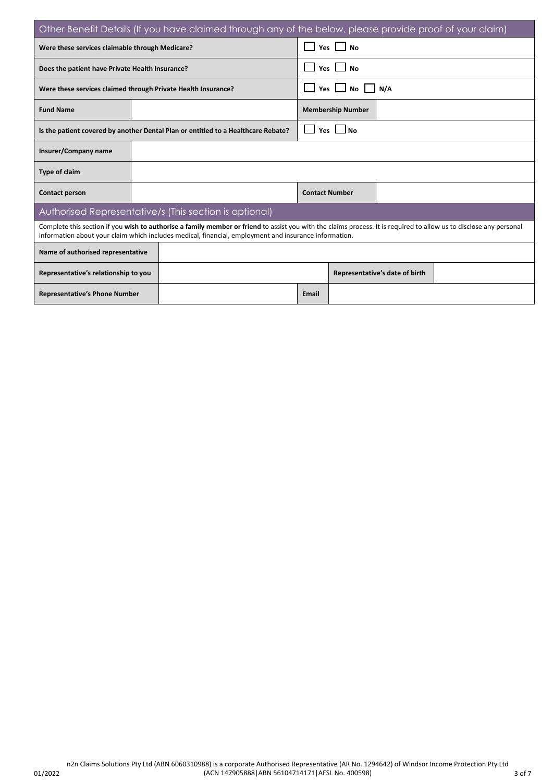| Other Benefit Details (If you have claimed through any of the below, please provide proof of your claim) |                                                                                                                                                                                                                                                                              |                                                                                   |                          |                                |  |  |  |  |  |  |  |
|----------------------------------------------------------------------------------------------------------|------------------------------------------------------------------------------------------------------------------------------------------------------------------------------------------------------------------------------------------------------------------------------|-----------------------------------------------------------------------------------|--------------------------|--------------------------------|--|--|--|--|--|--|--|
| Were these services claimable through Medicare?                                                          |                                                                                                                                                                                                                                                                              |                                                                                   | Yes<br><b>No</b>         |                                |  |  |  |  |  |  |  |
| Does the patient have Private Health Insurance?                                                          |                                                                                                                                                                                                                                                                              |                                                                                   | Yes I<br><b>No</b>       |                                |  |  |  |  |  |  |  |
| Were these services claimed through Private Health Insurance?                                            |                                                                                                                                                                                                                                                                              |                                                                                   |                          | N/A<br>Yes I<br><b>No</b>      |  |  |  |  |  |  |  |
| <b>Fund Name</b>                                                                                         |                                                                                                                                                                                                                                                                              |                                                                                   | <b>Membership Number</b> |                                |  |  |  |  |  |  |  |
|                                                                                                          |                                                                                                                                                                                                                                                                              | Is the patient covered by another Dental Plan or entitled to a Healthcare Rebate? | <b>Yes</b>               |                                |  |  |  |  |  |  |  |
| Insurer/Company name                                                                                     |                                                                                                                                                                                                                                                                              |                                                                                   |                          |                                |  |  |  |  |  |  |  |
| <b>Type of claim</b>                                                                                     |                                                                                                                                                                                                                                                                              |                                                                                   |                          |                                |  |  |  |  |  |  |  |
| Contact person                                                                                           |                                                                                                                                                                                                                                                                              |                                                                                   | <b>Contact Number</b>    |                                |  |  |  |  |  |  |  |
|                                                                                                          |                                                                                                                                                                                                                                                                              | Authorised Representative/s (This section is optional)                            |                          |                                |  |  |  |  |  |  |  |
|                                                                                                          | Complete this section if you wish to authorise a family member or friend to assist you with the claims process. It is required to allow us to disclose any personal<br>information about your claim which includes medical, financial, employment and insurance information. |                                                                                   |                          |                                |  |  |  |  |  |  |  |
| Name of authorised representative                                                                        |                                                                                                                                                                                                                                                                              |                                                                                   |                          |                                |  |  |  |  |  |  |  |
| Representative's relationship to you                                                                     |                                                                                                                                                                                                                                                                              |                                                                                   |                          | Representative's date of birth |  |  |  |  |  |  |  |
| <b>Representative's Phone Number</b>                                                                     |                                                                                                                                                                                                                                                                              |                                                                                   | Email                    |                                |  |  |  |  |  |  |  |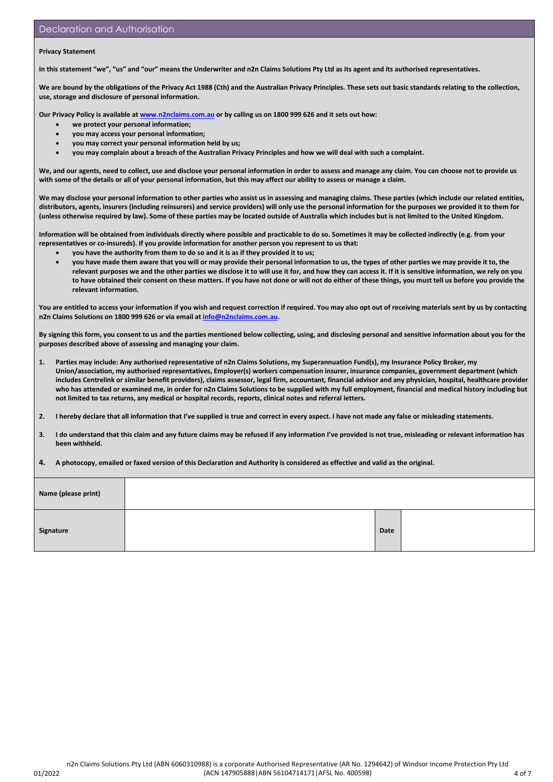#### **Privacy Statement**

**In this statement "we", "us" and "our" means the Underwriter and n2n Claims Solutions Pty Ltd as its agent and its authorised representatives.** 

**We are bound by the obligations of the Privacy Act 1988 (Cth) and the Australian Privacy Principles. These sets out basic standards relating to the collection, use, storage and disclosure of personal information.** 

**Our Privacy Policy is available a[t www.n2nclaims.com.au](http://www.n2nclaims.com.au/) or by calling us on 1800 999 626 and it sets out how:** 

- **we protect your personal information;**
- **you may access your personal information;**
- **you may correct your personal information held by us;**
- **you may complain about a breach of the Australian Privacy Principles and how we will deal with such a complaint.**

**We, and our agents, need to collect, use and disclose your personal information in order to assess and manage any claim. You can choose not to provide us with some of the details or all of your personal information, but this may affect our ability to assess or manage a claim.** 

**We may disclose your personal information to other parties who assist us in assessing and managing claims. These parties (which include our related entities, distributors, agents, insurers (including reinsurers) and service providers) will only use the personal information for the purposes we provided it to them for (unless otherwise required by law). Some of these parties may be located outside of Australia which includes but is not limited to the United Kingdom.**

**Information will be obtained from individuals directly where possible and practicable to do so. Sometimes it may be collected indirectly (e.g. from your representatives or co-insureds). If you provide information for another person you represent to us that:** 

- **you have the authority from them to do so and it is as if they provided it to us;**
- **you have made them aware that you will or may provide their personal information to us, the types of other parties we may provide it to, the relevant purposes we and the other parties we disclose it to will use it for, and how they can access it. If it is sensitive information, we rely on you to have obtained their consent on these matters. If you have not done or will not do either of these things, you must tell us before you provide the relevant information.**

You are entitled to access your information if you wish and request correction if required. You may also opt out of receiving materials sent by us by contacting **n2n Claims Solutions on 1800 999 626 or via email a[t info@n2nclaims.com.au.](mailto:info@n2nclaims.com.au)** 

**By signing this form, you consent to us and the parties mentioned below collecting, using, and disclosing personal and sensitive information about you for the purposes described above of assessing and managing your claim.**

- **1. Parties may include: Any authorised representative of n2n Claims Solutions, my Superannuation Fund(s), my Insurance Policy Broker, my Union/association, my authorised representatives, Employer(s) workers compensation insurer, insurance companies, government department (which includes Centrelink or similar benefit providers), claims assessor, legal firm, accountant, financial advisor and any physician, hospital, healthcare provider who has attended or examined me, in order for n2n Claims Solutions to be supplied with my full employment, financial and medical history including but not limited to tax returns, any medical or hospital records, reports, clinical notes and referral letters.**
- **2. I hereby declare that all information that I've supplied is true and correct in every aspect. I have not made any false or misleading statements.**
- **3. I do understand that this claim and any future claims may be refused if any information I've provided is not true, misleading or relevant information has been withheld.**
- **4. A photocopy, emailed or faxed version of this Declaration and Authority is considered as effective and valid as the original.**

| Name (please print) |      |  |
|---------------------|------|--|
| Signature           | Date |  |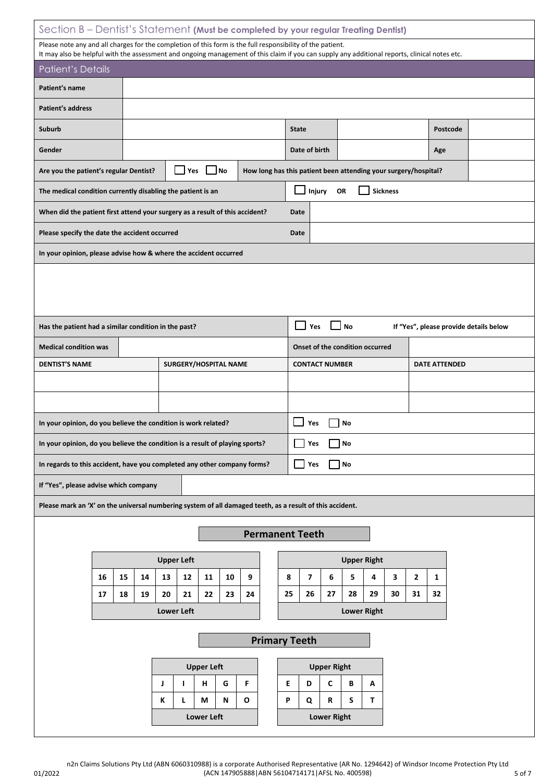| Section B – Dentist's Statement (Must be completed by your regular Treating Dentist)                                                                                                                                                                        |    |                   |                       |    |                                                                 |              |                                                                                  |                    |                             |                    |    |                |              |          |                                        |  |
|-------------------------------------------------------------------------------------------------------------------------------------------------------------------------------------------------------------------------------------------------------------|----|-------------------|-----------------------|----|-----------------------------------------------------------------|--------------|----------------------------------------------------------------------------------|--------------------|-----------------------------|--------------------|----|----------------|--------------|----------|----------------------------------------|--|
| Please note any and all charges for the completion of this form is the full responsibility of the patient.<br>It may also be helpful with the assessment and ongoing management of this claim if you can supply any additional reports, clinical notes etc. |    |                   |                       |    |                                                                 |              |                                                                                  |                    |                             |                    |    |                |              |          |                                        |  |
| <b>Patient's Details</b>                                                                                                                                                                                                                                    |    |                   |                       |    |                                                                 |              |                                                                                  |                    |                             |                    |    |                |              |          |                                        |  |
| Patient's name                                                                                                                                                                                                                                              |    |                   |                       |    |                                                                 |              |                                                                                  |                    |                             |                    |    |                |              |          |                                        |  |
| <b>Patient's address</b>                                                                                                                                                                                                                                    |    |                   |                       |    |                                                                 |              |                                                                                  |                    |                             |                    |    |                |              |          |                                        |  |
| Suburb                                                                                                                                                                                                                                                      |    |                   |                       |    |                                                                 | <b>State</b> |                                                                                  |                    |                             |                    |    |                |              | Postcode |                                        |  |
| Gender                                                                                                                                                                                                                                                      |    |                   |                       |    |                                                                 |              | Date of birth                                                                    |                    |                             |                    |    |                | Age          |          |                                        |  |
| Are you the patient's regular Dentist?                                                                                                                                                                                                                      |    |                   |                       |    | How long has this patient been attending your surgery/hospital? |              |                                                                                  |                    |                             |                    |    |                |              |          |                                        |  |
| <b>Sickness</b><br>Injury<br>OR<br>The medical condition currently disabling the patient is an                                                                                                                                                              |    |                   |                       |    |                                                                 |              |                                                                                  |                    |                             |                    |    |                |              |          |                                        |  |
| When did the patient first attend your surgery as a result of this accident?<br>Date                                                                                                                                                                        |    |                   |                       |    |                                                                 |              |                                                                                  |                    |                             |                    |    |                |              |          |                                        |  |
| Please specify the date the accident occurred<br>Date                                                                                                                                                                                                       |    |                   |                       |    |                                                                 |              |                                                                                  |                    |                             |                    |    |                |              |          |                                        |  |
| In your opinion, please advise how & where the accident occurred                                                                                                                                                                                            |    |                   |                       |    |                                                                 |              |                                                                                  |                    |                             |                    |    |                |              |          |                                        |  |
|                                                                                                                                                                                                                                                             |    |                   |                       |    |                                                                 |              |                                                                                  |                    |                             |                    |    |                |              |          |                                        |  |
|                                                                                                                                                                                                                                                             |    |                   |                       |    |                                                                 |              |                                                                                  |                    |                             |                    |    |                |              |          |                                        |  |
|                                                                                                                                                                                                                                                             |    |                   |                       |    |                                                                 |              |                                                                                  |                    |                             |                    |    |                |              |          |                                        |  |
| Has the patient had a similar condition in the past?                                                                                                                                                                                                        |    |                   |                       |    |                                                                 |              | Yes                                                                              |                    | $\Box$ No                   |                    |    |                |              |          | If "Yes", please provide details below |  |
| <b>Medical condition was</b><br><b>DENTIST'S NAME</b>                                                                                                                                                                                                       |    |                   | SURGERY/HOSPITAL NAME |    |                                                                 |              | Onset of the condition occurred<br><b>CONTACT NUMBER</b><br><b>DATE ATTENDED</b> |                    |                             |                    |    |                |              |          |                                        |  |
|                                                                                                                                                                                                                                                             |    |                   |                       |    |                                                                 |              |                                                                                  |                    |                             |                    |    |                |              |          |                                        |  |
|                                                                                                                                                                                                                                                             |    |                   |                       |    |                                                                 |              |                                                                                  |                    |                             |                    |    |                |              |          |                                        |  |
| In your opinion, do you believe the condition is work related?                                                                                                                                                                                              |    |                   |                       |    |                                                                 |              | Yes                                                                              |                    | No                          |                    |    |                |              |          |                                        |  |
| In your opinion, do you believe the condition is a result of playing sports?                                                                                                                                                                                |    |                   |                       |    |                                                                 |              | Yes                                                                              |                    | No                          |                    |    |                |              |          |                                        |  |
| In regards to this accident, have you completed any other company forms?                                                                                                                                                                                    |    |                   |                       |    |                                                                 |              | Yes                                                                              |                    | $\overline{\phantom{a}}$ No |                    |    |                |              |          |                                        |  |
| If "Yes", please advise which company                                                                                                                                                                                                                       |    |                   |                       |    |                                                                 |              |                                                                                  |                    |                             |                    |    |                |              |          |                                        |  |
| Please mark an 'X' on the universal numbering system of all damaged teeth, as a result of this accident.                                                                                                                                                    |    |                   |                       |    |                                                                 |              |                                                                                  |                    |                             |                    |    |                |              |          |                                        |  |
|                                                                                                                                                                                                                                                             |    |                   |                       |    |                                                                 |              |                                                                                  |                    |                             |                    |    |                |              |          |                                        |  |
| <b>Permanent Teeth</b>                                                                                                                                                                                                                                      |    |                   |                       |    |                                                                 |              |                                                                                  |                    |                             |                    |    |                |              |          |                                        |  |
|                                                                                                                                                                                                                                                             |    | <b>Upper Left</b> |                       |    |                                                                 |              |                                                                                  |                    |                             | <b>Upper Right</b> |    |                |              |          |                                        |  |
| 16<br>15                                                                                                                                                                                                                                                    | 14 | 13<br>12          | 11<br>10              | 9  |                                                                 | 8            | 7                                                                                | 6                  | 5                           | 4                  | 3  | $\overline{2}$ | $\mathbf{1}$ |          |                                        |  |
| 17<br>18                                                                                                                                                                                                                                                    | 19 | 20<br>21          | 22<br>23              | 24 |                                                                 | 25           | 26                                                                               | 27                 | 28                          | 29                 | 30 | 31             | 32           |          |                                        |  |
|                                                                                                                                                                                                                                                             |    | <b>Lower Left</b> |                       |    |                                                                 |              |                                                                                  |                    |                             | <b>Lower Right</b> |    |                |              |          |                                        |  |
| <b>Primary Teeth</b>                                                                                                                                                                                                                                        |    |                   |                       |    |                                                                 |              |                                                                                  |                    |                             |                    |    |                |              |          |                                        |  |
|                                                                                                                                                                                                                                                             |    |                   | <b>Upper Left</b>     |    |                                                                 |              |                                                                                  | <b>Upper Right</b> |                             |                    |    |                |              |          |                                        |  |
|                                                                                                                                                                                                                                                             |    | J<br>$\mathbf{I}$ | G<br>н                | F  |                                                                 | E            | D                                                                                | $\mathbf c$        | В                           | А                  |    |                |              |          |                                        |  |
|                                                                                                                                                                                                                                                             |    | L<br>К            | М<br>N                | O  |                                                                 | P            | Q                                                                                | R                  | S                           | T.                 |    |                |              |          |                                        |  |
|                                                                                                                                                                                                                                                             |    |                   | <b>Lower Left</b>     |    |                                                                 |              |                                                                                  | <b>Lower Right</b> |                             |                    |    |                |              |          |                                        |  |

01/2022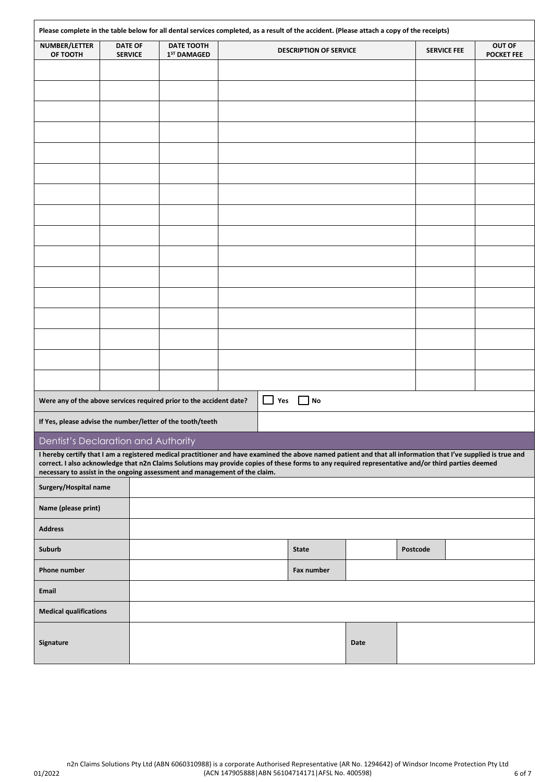| Please complete in the table below for all dental services completed, as a result of the accident. (Please attach a copy of the receipts)                                                                                        |                                  |  |                             |  |            |                               |      |          |                    |                             |
|----------------------------------------------------------------------------------------------------------------------------------------------------------------------------------------------------------------------------------|----------------------------------|--|-----------------------------|--|------------|-------------------------------|------|----------|--------------------|-----------------------------|
| NUMBER/LETTER<br>OF TOOTH                                                                                                                                                                                                        | <b>DATE OF</b><br><b>SERVICE</b> |  | DATE TOOTH<br>$1ST$ DAMAGED |  |            | <b>DESCRIPTION OF SERVICE</b> |      |          | <b>SERVICE FEE</b> | OUT OF<br><b>POCKET FEE</b> |
|                                                                                                                                                                                                                                  |                                  |  |                             |  |            |                               |      |          |                    |                             |
|                                                                                                                                                                                                                                  |                                  |  |                             |  |            |                               |      |          |                    |                             |
|                                                                                                                                                                                                                                  |                                  |  |                             |  |            |                               |      |          |                    |                             |
|                                                                                                                                                                                                                                  |                                  |  |                             |  |            |                               |      |          |                    |                             |
|                                                                                                                                                                                                                                  |                                  |  |                             |  |            |                               |      |          |                    |                             |
|                                                                                                                                                                                                                                  |                                  |  |                             |  |            |                               |      |          |                    |                             |
|                                                                                                                                                                                                                                  |                                  |  |                             |  |            |                               |      |          |                    |                             |
|                                                                                                                                                                                                                                  |                                  |  |                             |  |            |                               |      |          |                    |                             |
|                                                                                                                                                                                                                                  |                                  |  |                             |  |            |                               |      |          |                    |                             |
|                                                                                                                                                                                                                                  |                                  |  |                             |  |            |                               |      |          |                    |                             |
|                                                                                                                                                                                                                                  |                                  |  |                             |  |            |                               |      |          |                    |                             |
|                                                                                                                                                                                                                                  |                                  |  |                             |  |            |                               |      |          |                    |                             |
|                                                                                                                                                                                                                                  |                                  |  |                             |  |            |                               |      |          |                    |                             |
|                                                                                                                                                                                                                                  |                                  |  |                             |  |            |                               |      |          |                    |                             |
|                                                                                                                                                                                                                                  |                                  |  |                             |  |            |                               |      |          |                    |                             |
|                                                                                                                                                                                                                                  |                                  |  |                             |  |            |                               |      |          |                    |                             |
|                                                                                                                                                                                                                                  |                                  |  |                             |  |            |                               |      |          |                    |                             |
|                                                                                                                                                                                                                                  |                                  |  |                             |  |            |                               |      |          |                    |                             |
| Were any of the above services required prior to the accident date?                                                                                                                                                              |                                  |  |                             |  | $\Box$ Yes | No                            |      |          |                    |                             |
| If Yes, please advise the number/letter of the tooth/teeth                                                                                                                                                                       |                                  |  |                             |  |            |                               |      |          |                    |                             |
| Dentist's Declaration and Authority<br>I hereby certify that I am a registered medical practitioner and have examined the above named patient and that all information that I've supplied is true and                            |                                  |  |                             |  |            |                               |      |          |                    |                             |
| correct. I also acknowledge that n2n Claims Solutions may provide copies of these forms to any required representative and/or third parties deemed<br>necessary to assist in the ongoing assessment and management of the claim. |                                  |  |                             |  |            |                               |      |          |                    |                             |
| Surgery/Hospital name                                                                                                                                                                                                            |                                  |  |                             |  |            |                               |      |          |                    |                             |
| Name (please print)                                                                                                                                                                                                              |                                  |  |                             |  |            |                               |      |          |                    |                             |
| <b>Address</b>                                                                                                                                                                                                                   |                                  |  |                             |  |            |                               |      |          |                    |                             |
| Suburb                                                                                                                                                                                                                           |                                  |  |                             |  |            | <b>State</b>                  |      | Postcode |                    |                             |
| Phone number                                                                                                                                                                                                                     |                                  |  |                             |  |            | Fax number                    |      |          |                    |                             |
| Email                                                                                                                                                                                                                            |                                  |  |                             |  |            |                               |      |          |                    |                             |
| <b>Medical qualifications</b>                                                                                                                                                                                                    |                                  |  |                             |  |            |                               |      |          |                    |                             |
|                                                                                                                                                                                                                                  |                                  |  |                             |  |            |                               |      |          |                    |                             |
| Signature                                                                                                                                                                                                                        |                                  |  |                             |  |            |                               | Date |          |                    |                             |